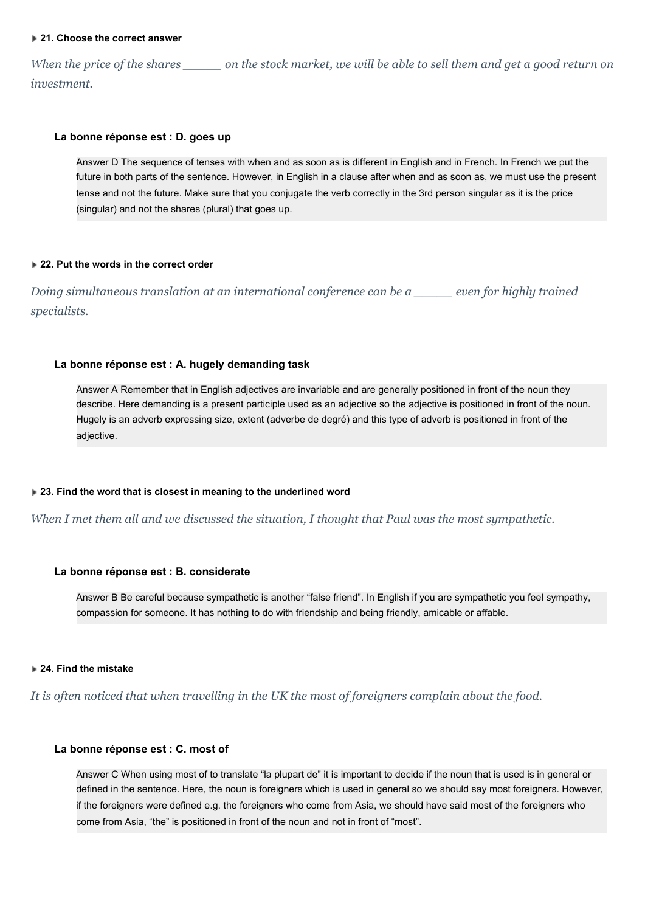#### **21. Choose the correct answer**

When the price of the shares \_\_\_\_\_\_\_\_ on the stock market, we will be able to sell them and get a good return on *investment.*

## **La bonne réponse est : D. goes up**

Answer D The sequence of tenses with when and as soon as is different in English and in French. In French we put the future in both parts of the sentence. However, in English in a clause after when and as soon as, we must use the present tense and not the future. Make sure that you conjugate the verb correctly in the 3rd person singular as it is the price (singular) and not the shares (plural) that goes up.

#### **22. Put the words in the correct order**

*Doing simultaneous translation at an international conference can be a \_\_\_\_\_ even for highly trained specialists.*

## **La bonne réponse est : A. hugely demanding task**

Answer A Remember that in English adjectives are invariable and are generally positioned in front of the noun they describe. Here demanding is a present participle used as an adjective so the adjective is positioned in front of the noun. Hugely is an adverb expressing size, extent (adverbe de degré) and this type of adverb is positioned in front of the adjective.

#### **23. Find the word that is closest in meaning to the underlined word**

*When I met them all and we discussed the situation, I thought that Paul was the most sympathetic.*

## **La bonne réponse est : B. considerate**

Answer B Be careful because sympathetic is another "false friend". In English if you are sympathetic you feel sympathy, compassion for someone. It has nothing to do with friendship and being friendly, amicable or affable.

## **24. Find the mistake**

*It is often noticed that when travelling in the UK the most of foreigners complain about the food.*

## **La bonne réponse est : C. most of**

Answer C When using most of to translate "la plupart de" it is important to decide if the noun that is used is in general or defined in the sentence. Here, the noun is foreigners which is used in general so we should say most foreigners. However, if the foreigners were defined e.g. the foreigners who come from Asia, we should have said most of the foreigners who come from Asia, "the" is positioned in front of the noun and not in front of "most".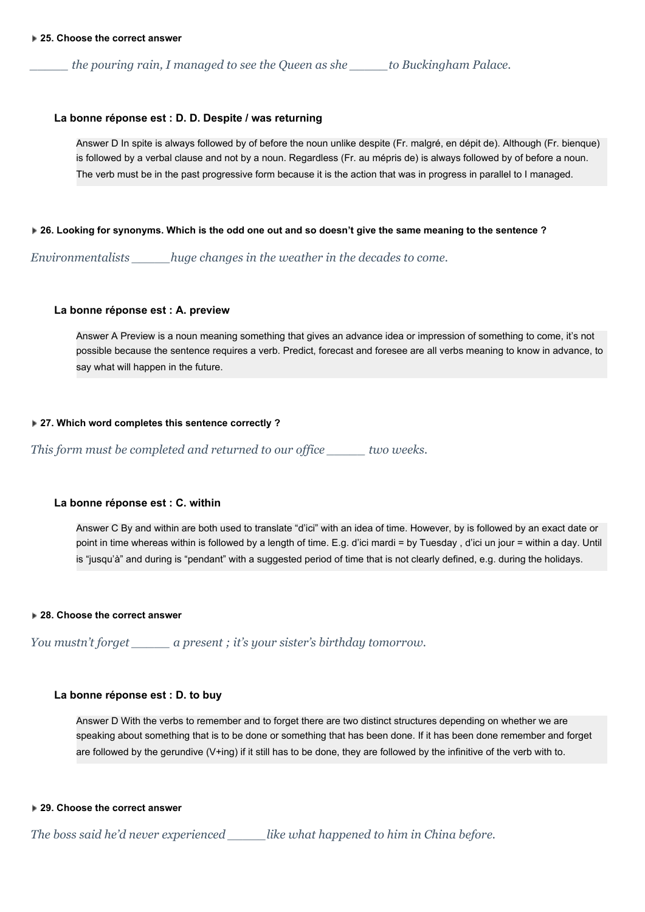*\_\_\_\_\_ the pouring rain, I managed to see the Queen as she \_\_\_\_\_to Buckingham Palace.*

## **La bonne réponse est : D. D. Despite / was returning**

Answer D In spite is always followed by of before the noun unlike despite (Fr. malgré, en dépit de). Although (Fr. bienque) is followed by a verbal clause and not by a noun. Regardless (Fr. au mépris de) is always followed by of before a noun. The verb must be in the past progressive form because it is the action that was in progress in parallel to I managed.

#### **26. Looking for synonyms. Which is the odd one out and so doesn't give the same meaning to the sentence ?**

*Environmentalists \_\_\_\_\_huge changes in the weather in the decades to come.*

# **La bonne réponse est : A. preview**

Answer A Preview is a noun meaning something that gives an advance idea or impression of something to come, it's not possible because the sentence requires a verb. Predict, forecast and foresee are all verbs meaning to know in advance, to say what will happen in the future.

# **27. Which word completes this sentence correctly ?**

*This form must be completed and returned to our of ice \_\_\_\_\_ two weeks.*

# **La bonne réponse est : C. within**

Answer C By and within are both used to translate "d'ici" with an idea of time. However, by is followed by an exact date or point in time whereas within is followed by a length of time. E.g. d'ici mardi = by Tuesday , d'ici un jour = within a day. Until is "jusqu'à" and during is "pendant" with a suggested period of time that is not clearly defined, e.g. during the holidays.

#### **28. Choose the correct answer**

*You mustn't forget \_\_\_\_\_ a present ; it's your sister's birthday tomorrow.*

# **La bonne réponse est : D. to buy**

Answer D With the verbs to remember and to forget there are two distinct structures depending on whether we are speaking about something that is to be done or something that has been done. If it has been done remember and forget are followed by the gerundive (V+ing) if it still has to be done, they are followed by the infinitive of the verb with to.

# **29. Choose the correct answer**

*The boss said he'd never experienced \_\_\_\_\_like what happened to him in China before.*